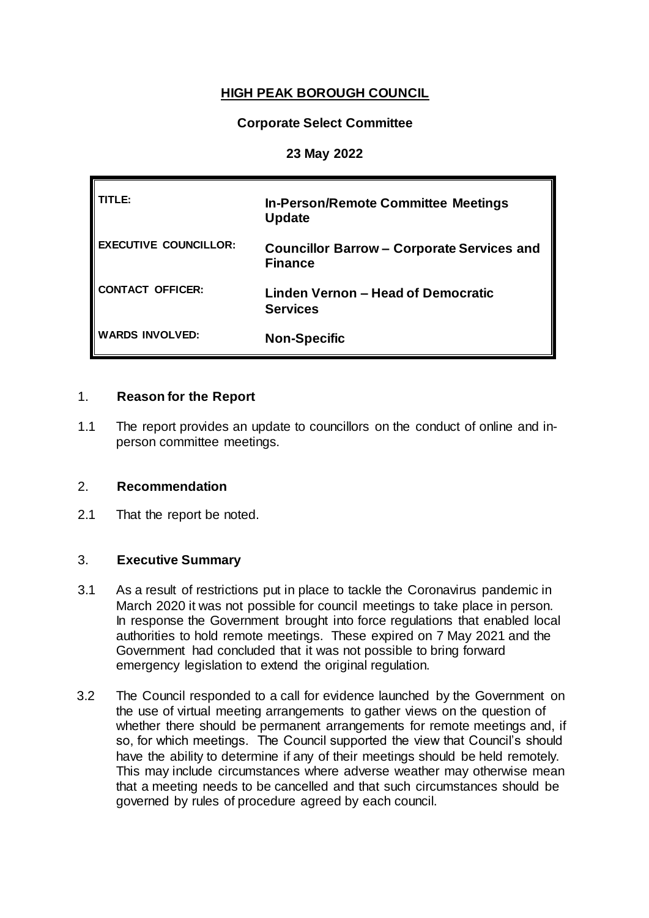# **HIGH PEAK BOROUGH COUNCIL**

### **Corporate Select Committee**

### **23 May 2022**

| TLE:                         | <b>In-Person/Remote Committee Meetings</b><br><b>Update</b>         |
|------------------------------|---------------------------------------------------------------------|
| <b>EXECUTIVE COUNCILLOR:</b> | <b>Councillor Barrow - Corporate Services and</b><br><b>Finance</b> |
| CONTACT OFFICER:             | Linden Vernon - Head of Democratic<br><b>Services</b>               |
| <b>WARDS INVOLVED:</b>       | <b>Non-Specific</b>                                                 |

### 1. **Reason for the Report**

1.1 The report provides an update to councillors on the conduct of online and inperson committee meetings.

### 2. **Recommendation**

2.1 That the report be noted.

### 3. **Executive Summary**

- 3.1 As a result of restrictions put in place to tackle the Coronavirus pandemic in March 2020 it was not possible for council meetings to take place in person. In response the Government brought into force regulations that enabled local authorities to hold remote meetings. These expired on 7 May 2021 and the Government had concluded that it was not possible to bring forward emergency legislation to extend the original regulation.
- 3.2 The Council responded to a call for evidence launched by the Government on the use of virtual meeting arrangements to gather views on the question of whether there should be permanent arrangements for remote meetings and, if so, for which meetings. The Council supported the view that Council's should have the ability to determine if any of their meetings should be held remotely. This may include circumstances where adverse weather may otherwise mean that a meeting needs to be cancelled and that such circumstances should be governed by rules of procedure agreed by each council.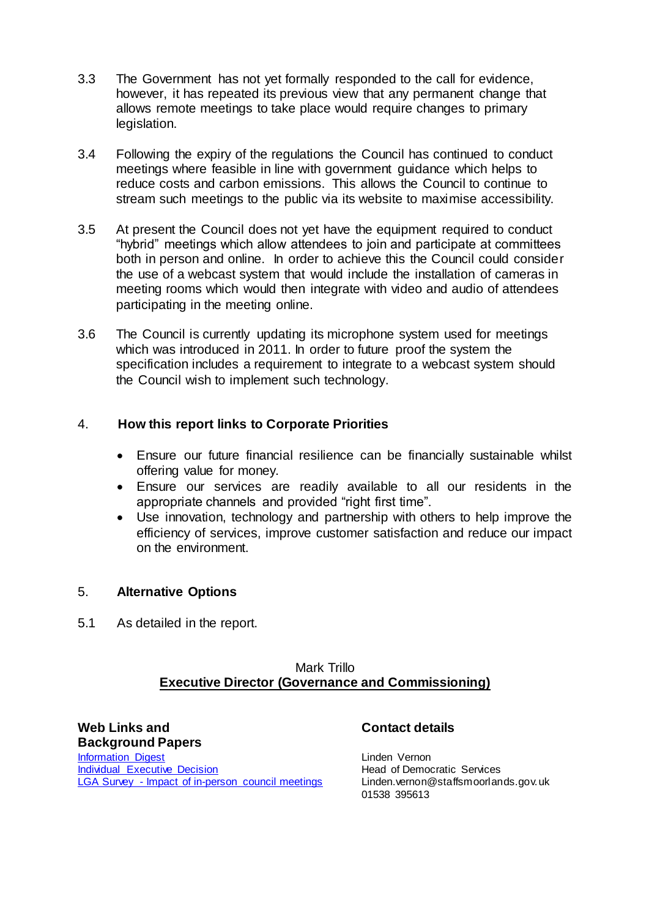- 3.3 The Government has not yet formally responded to the call for evidence, however, it has repeated its previous view that any permanent change that allows remote meetings to take place would require changes to primary legislation.
- 3.4 Following the expiry of the regulations the Council has continued to conduct meetings where feasible in line with government guidance which helps to reduce costs and carbon emissions. This allows the Council to continue to stream such meetings to the public via its website to maximise accessibility.
- 3.5 At present the Council does not yet have the equipment required to conduct "hybrid" meetings which allow attendees to join and participate at committees both in person and online. In order to achieve this the Council could consider the use of a webcast system that would include the installation of cameras in meeting rooms which would then integrate with video and audio of attendees participating in the meeting online.
- 3.6 The Council is currently updating its microphone system used for meetings which was introduced in 2011. In order to future proof the system the specification includes a requirement to integrate to a webcast system should the Council wish to implement such technology.

### 4. **How this report links to Corporate Priorities**

- Ensure our future financial resilience can be financially sustainable whilst offering value for money.
- Ensure our services are readily available to all our residents in the appropriate channels and provided "right first time".
- Use innovation, technology and partnership with others to help improve the efficiency of services, improve customer satisfaction and reduce our impact on the environment.

### 5. **Alternative Options**

5.1 As detailed in the report.

### Mark Trillo **Executive Director (Governance and Commissioning)**

**Web Links and Background Papers [Information Digest](https://democracy.highpeak.gov.uk/documents/s25017/ID%20Remote%20Committee%20Meetings.pdf)** [Individual Executive Decision](https://democracy.highpeak.gov.uk/documents/s23537/HPBC%20Delegated%20Report%20-%20Remote%20Meetings%20AEM.pdf) LGA Survey - [Impact of in-person council meetings](https://www.local.gov.uk/sites/default/files/documents/Impact%20of%20in-person%20council%20meetings%20survey%20October%20-%20November%202021%20WEB.pdf)

## **Contact details**

Linden Vernon Head of Democratic Services Linden.vernon@staffsmoorlands.gov.uk 01538 395613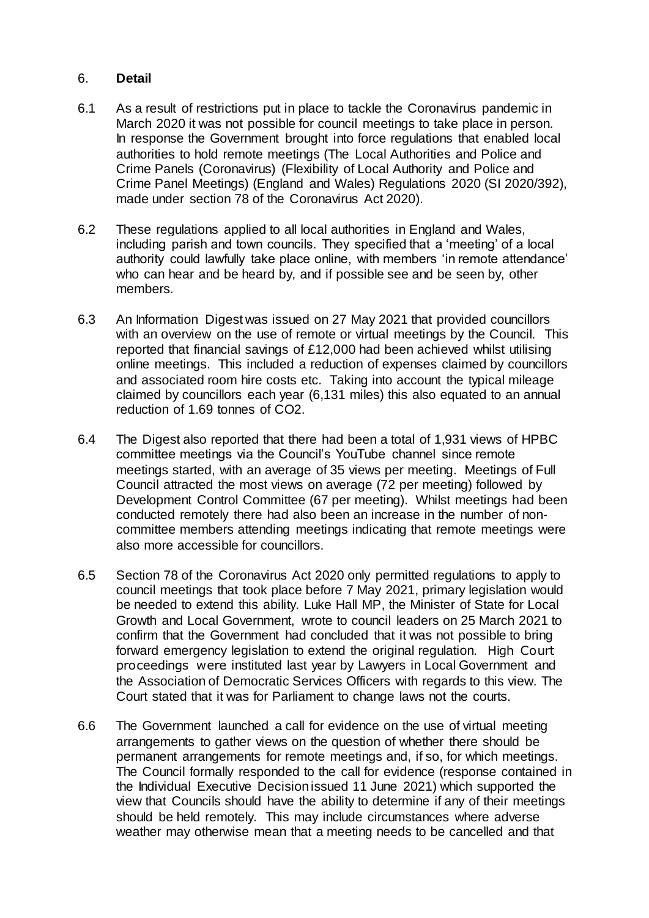#### 6. **Detail**

- 6.1 As a result of restrictions put in place to tackle the Coronavirus pandemic in March 2020 it was not possible for council meetings to take place in person. In response the Government brought into force regulations that enabled local authorities to hold remote meetings (The Local Authorities and Police and Crime Panels (Coronavirus) (Flexibility of Local Authority and Police and Crime Panel Meetings) (England and Wales) Regulations 2020 (SI 2020/392), made under section 78 of the Coronavirus Act 2020).
- 6.2 These regulations applied to all local authorities in England and Wales, including parish and town councils. They specified that a 'meeting' of a local authority could lawfully take place online, with members 'in remote attendance' who can hear and be heard by, and if possible see and be seen by, other members.
- 6.3 An Information Digest was issued on 27 May 2021 that provided councillors with an overview on the use of remote or virtual meetings by the Council. This reported that financial savings of £12,000 had been achieved whilst utilising online meetings. This included a reduction of expenses claimed by councillors and associated room hire costs etc. Taking into account the typical mileage claimed by councillors each year (6,131 miles) this also equated to an annual reduction of 1.69 tonnes of CO2.
- 6.4 The Digest also reported that there had been a total of 1,931 views of HPBC committee meetings via the Council's YouTube channel since remote meetings started, with an average of 35 views per meeting. Meetings of Full Council attracted the most views on average (72 per meeting) followed by Development Control Committee (67 per meeting). Whilst meetings had been conducted remotely there had also been an increase in the number of noncommittee members attending meetings indicating that remote meetings were also more accessible for councillors.
- 6.5 Section 78 of the Coronavirus Act 2020 only permitted regulations to apply to council meetings that took place before 7 May 2021, primary legislation would be needed to extend this ability. Luke Hall MP, the Minister of State for Local Growth and Local Government, wrote to council leaders on 25 March 2021 to confirm that the Government had concluded that it was not possible to bring forward emergency legislation to extend the original regulation. High Court proceedings were instituted last year by Lawyers in Local Government and the Association of Democratic Services Officers with regards to this view. The Court stated that it was for Parliament to change laws not the courts.
- 6.6 The Government launched a call for evidence on the use of virtual meeting arrangements to gather views on the question of whether there should be permanent arrangements for remote meetings and, if so, for which meetings. The Council formally responded to the call for evidence (response contained in the Individual Executive Decisionissued 11 June 2021) which supported the view that Councils should have the ability to determine if any of their meetings should be held remotely. This may include circumstances where adverse weather may otherwise mean that a meeting needs to be cancelled and that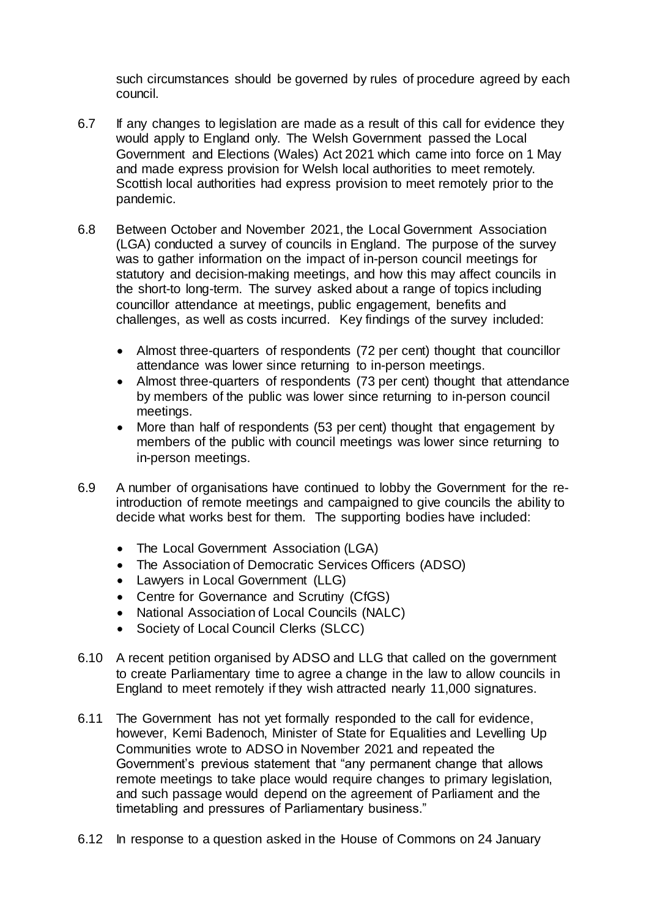such circumstances should be governed by rules of procedure agreed by each council.

- 6.7 If any changes to legislation are made as a result of this call for evidence they would apply to England only. The Welsh Government passed the Local Government and Elections (Wales) Act 2021 which came into force on 1 May and made express provision for Welsh local authorities to meet remotely. Scottish local authorities had express provision to meet remotely prior to the pandemic.
- 6.8 Between October and November 2021, the Local Government Association (LGA) conducted a survey of councils in England. The purpose of the survey was to gather information on the impact of in-person council meetings for statutory and decision-making meetings, and how this may affect councils in the short-to long-term. The survey asked about a range of topics including councillor attendance at meetings, public engagement, benefits and challenges, as well as costs incurred. Key findings of the survey included:
	- Almost three-quarters of respondents (72 per cent) thought that councillor attendance was lower since returning to in-person meetings.
	- Almost three-quarters of respondents (73 per cent) thought that attendance by members of the public was lower since returning to in-person council meetings.
	- More than half of respondents (53 per cent) thought that engagement by members of the public with council meetings was lower since returning to in-person meetings.
- 6.9 A number of organisations have continued to lobby the Government for the reintroduction of remote meetings and campaigned to give councils the ability to decide what works best for them. The supporting bodies have included:
	- The Local Government Association (LGA)
	- The Association of Democratic Services Officers (ADSO)
	- Lawyers in Local Government (LLG)
	- Centre for Governance and Scrutiny (CfGS)
	- National Association of Local Councils (NALC)
	- Society of Local Council Clerks (SLCC)
- 6.10 A recent petition organised by ADSO and LLG that called on the government to create Parliamentary time to agree a change in the law to allow councils in England to meet remotely if they wish attracted nearly 11,000 signatures.
- 6.11 The Government has not yet formally responded to the call for evidence, however, Kemi Badenoch, Minister of State for Equalities and Levelling Up Communities wrote to ADSO in November 2021 and repeated the Government's previous statement that "any permanent change that allows remote meetings to take place would require changes to primary legislation, and such passage would depend on the agreement of Parliament and the timetabling and pressures of Parliamentary business."
- 6.12 In response to a question asked in the House of Commons on 24 January